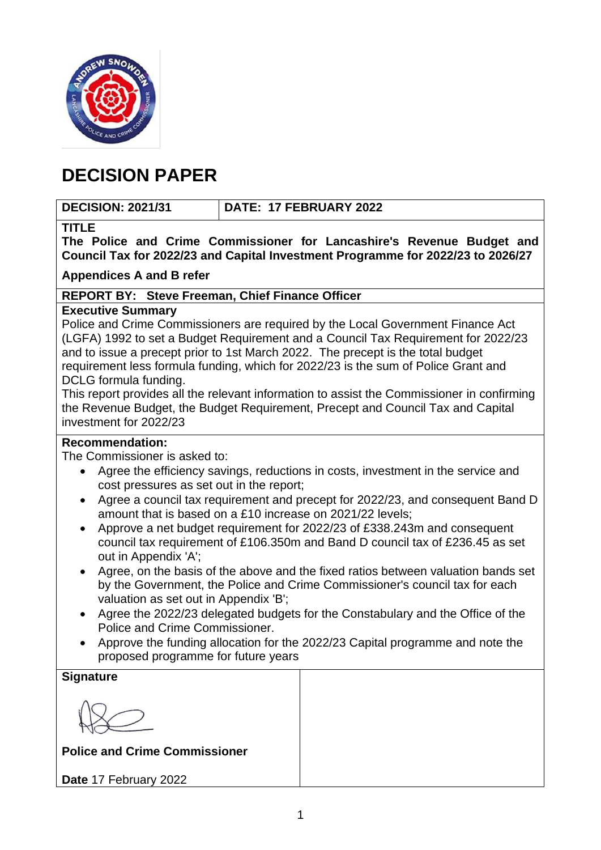

## **DECISION PAPER**

## **DECISION: 2021/31 DATE: 17 FEBRUARY 2022**

## **TITLE**

**The Police and Crime Commissioner for Lancashire's Revenue Budget and Council Tax for 2022/23 and Capital Investment Programme for 2022/23 to 2026/27**

**Appendices A and B refer**

## **REPORT BY: Steve Freeman, Chief Finance Officer**

## **Executive Summary**

Police and Crime Commissioners are required by the Local Government Finance Act (LGFA) 1992 to set a Budget Requirement and a Council Tax Requirement for 2022/23 and to issue a precept prior to 1st March 2022. The precept is the total budget requirement less formula funding, which for 2022/23 is the sum of Police Grant and DCLG formula funding.

This report provides all the relevant information to assist the Commissioner in confirming the Revenue Budget, the Budget Requirement, Precept and Council Tax and Capital investment for 2022/23

## **Recommendation:**

The Commissioner is asked to:

- Agree the efficiency savings, reductions in costs, investment in the service and cost pressures as set out in the report;
- Agree a council tax requirement and precept for 2022/23, and consequent Band D amount that is based on a £10 increase on 2021/22 levels;
- Approve a net budget requirement for 2022/23 of £338.243m and consequent council tax requirement of £106.350m and Band D council tax of £236.45 as set out in Appendix 'A';
- Agree, on the basis of the above and the fixed ratios between valuation bands set by the Government, the Police and Crime Commissioner's council tax for each valuation as set out in Appendix 'B';
- Agree the 2022/23 delegated budgets for the Constabulary and the Office of the Police and Crime Commissioner.
- Approve the funding allocation for the 2022/23 Capital programme and note the proposed programme for future years

| <b>Signature</b>                     |
|--------------------------------------|
|                                      |
| <b>Police and Crime Commissioner</b> |
| Date 17 February 2022                |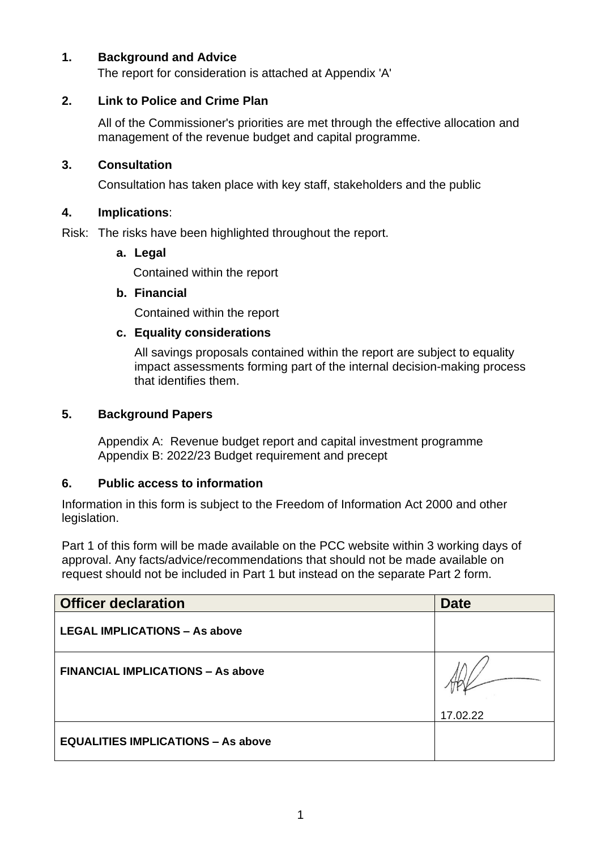## **1. Background and Advice**

The report for consideration is attached at Appendix 'A'

## **2. Link to Police and Crime Plan**

All of the Commissioner's priorities are met through the effective allocation and management of the revenue budget and capital programme.

## **3. Consultation**

Consultation has taken place with key staff, stakeholders and the public

## **4. Implications**:

Risk: The risks have been highlighted throughout the report.

## **a. Legal**

Contained within the report

## **b. Financial**

Contained within the report

## **c. Equality considerations**

All savings proposals contained within the report are subject to equality impact assessments forming part of the internal decision-making process that identifies them.

## **5. Background Papers**

Appendix A: Revenue budget report and capital investment programme Appendix B: 2022/23 Budget requirement and precept

## **6. Public access to information**

Information in this form is subject to the Freedom of Information Act 2000 and other legislation.

Part 1 of this form will be made available on the PCC website within 3 working days of approval. Any facts/advice/recommendations that should not be made available on request should not be included in Part 1 but instead on the separate Part 2 form.

| <b>Officer declaration</b>                | <b>Date</b> |
|-------------------------------------------|-------------|
| <b>LEGAL IMPLICATIONS - As above</b>      |             |
| <b>FINANCIAL IMPLICATIONS - As above</b>  |             |
|                                           | 17.02.22    |
| <b>EQUALITIES IMPLICATIONS - As above</b> |             |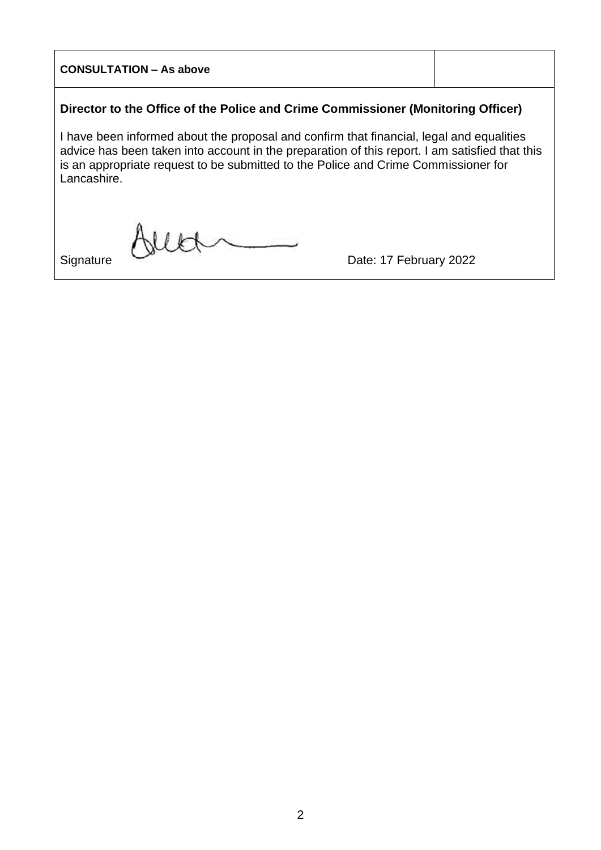# **CONSULTATION – As above Director to the Office of the Police and Crime Commissioner (Monitoring Officer)** I have been informed about the proposal and confirm that financial, legal and equalities advice has been taken into account in the preparation of this report. I am satisfied that this is an appropriate request to be submitted to the Police and Crime Commissioner for Lancashire.  $U$ Signature Date: 17 February 2022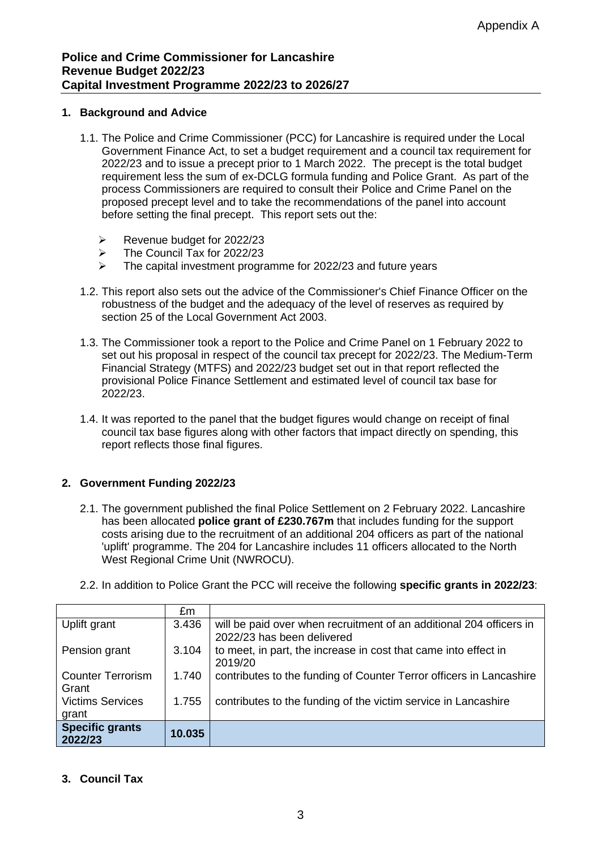#### **1. Background and Advice**

- 1.1. The Police and Crime Commissioner (PCC) for Lancashire is required under the Local Government Finance Act, to set a budget requirement and a council tax requirement for 2022/23 and to issue a precept prior to 1 March 2022. The precept is the total budget requirement less the sum of ex-DCLG formula funding and Police Grant. As part of the process Commissioners are required to consult their Police and Crime Panel on the proposed precept level and to take the recommendations of the panel into account before setting the final precept. This report sets out the:
	- ➢ Revenue budget for 2022/23
	- $\triangleright$  The Council Tax for 2022/23
	- ➢ The capital investment programme for 2022/23 and future years
- 1.2. This report also sets out the advice of the Commissioner's Chief Finance Officer on the robustness of the budget and the adequacy of the level of reserves as required by section 25 of the Local Government Act 2003.
- 1.3. The Commissioner took a report to the Police and Crime Panel on 1 February 2022 to set out his proposal in respect of the council tax precept for 2022/23. The Medium-Term Financial Strategy (MTFS) and 2022/23 budget set out in that report reflected the provisional Police Finance Settlement and estimated level of council tax base for 2022/23.
- 1.4. It was reported to the panel that the budget figures would change on receipt of final council tax base figures along with other factors that impact directly on spending, this report reflects those final figures.

#### **2. Government Funding 2022/23**

- 2.1. The government published the final Police Settlement on 2 February 2022. Lancashire has been allocated **police grant of £230.767m** that includes funding for the support costs arising due to the recruitment of an additional 204 officers as part of the national 'uplift' programme. The 204 for Lancashire includes 11 officers allocated to the North West Regional Crime Unit (NWROCU).
- 2.2. In addition to Police Grant the PCC will receive the following **specific grants in 2022/23**:

|                          | £m     |                                                                                                   |
|--------------------------|--------|---------------------------------------------------------------------------------------------------|
| Uplift grant             | 3.436  | will be paid over when recruitment of an additional 204 officers in<br>2022/23 has been delivered |
|                          |        |                                                                                                   |
| Pension grant            | 3.104  | to meet, in part, the increase in cost that came into effect in                                   |
|                          |        | 2019/20                                                                                           |
| <b>Counter Terrorism</b> | 1.740  | contributes to the funding of Counter Terror officers in Lancashire                               |
| Grant                    |        |                                                                                                   |
| <b>Victims Services</b>  | 1.755  | contributes to the funding of the victim service in Lancashire                                    |
| grant                    |        |                                                                                                   |
| <b>Specific grants</b>   |        |                                                                                                   |
| 2022/23                  | 10.035 |                                                                                                   |

#### **3. Council Tax**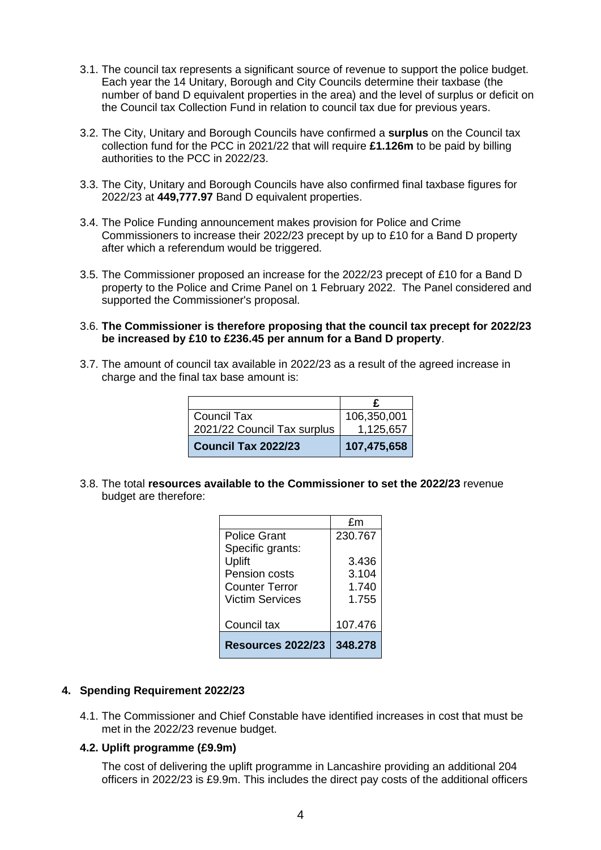- 3.1. The council tax represents a significant source of revenue to support the police budget. Each year the 14 Unitary, Borough and City Councils determine their taxbase (the number of band D equivalent properties in the area) and the level of surplus or deficit on the Council tax Collection Fund in relation to council tax due for previous years.
- 3.2. The City, Unitary and Borough Councils have confirmed a **surplus** on the Council tax collection fund for the PCC in 2021/22 that will require **£1.126m** to be paid by billing authorities to the PCC in 2022/23.
- 3.3. The City, Unitary and Borough Councils have also confirmed final taxbase figures for 2022/23 at **449,777.97** Band D equivalent properties.
- 3.4. The Police Funding announcement makes provision for Police and Crime Commissioners to increase their 2022/23 precept by up to £10 for a Band D property after which a referendum would be triggered.
- 3.5. The Commissioner proposed an increase for the 2022/23 precept of £10 for a Band D property to the Police and Crime Panel on 1 February 2022. The Panel considered and supported the Commissioner's proposal.
- 3.6. **The Commissioner is therefore proposing that the council tax precept for 2022/23 be increased by £10 to £236.45 per annum for a Band D property**.
- 3.7. The amount of council tax available in 2022/23 as a result of the agreed increase in charge and the final tax base amount is:

| <b>Council Tax</b>          | 106,350,001 |
|-----------------------------|-------------|
| 2021/22 Council Tax surplus | 1,125,657   |
| <b>Council Tax 2022/23</b>  | 107,475,658 |

3.8. The total **resources available to the Commissioner to set the 2022/23** revenue budget are therefore:

|                       | £m      |
|-----------------------|---------|
| Police Grant          | 230.767 |
| Specific grants:      |         |
| Uplift                | 3.436   |
| <b>Pension costs</b>  | 3.104   |
| <b>Counter Terror</b> | 1.740   |
| Victim Services       | 1.755   |
|                       |         |
| Council tax           | 107.476 |
| Resources 2022/23     | 348.278 |

#### **4. Spending Requirement 2022/23**

4.1. The Commissioner and Chief Constable have identified increases in cost that must be met in the 2022/23 revenue budget.

#### **4.2. Uplift programme (£9.9m)**

The cost of delivering the uplift programme in Lancashire providing an additional 204 officers in 2022/23 is £9.9m. This includes the direct pay costs of the additional officers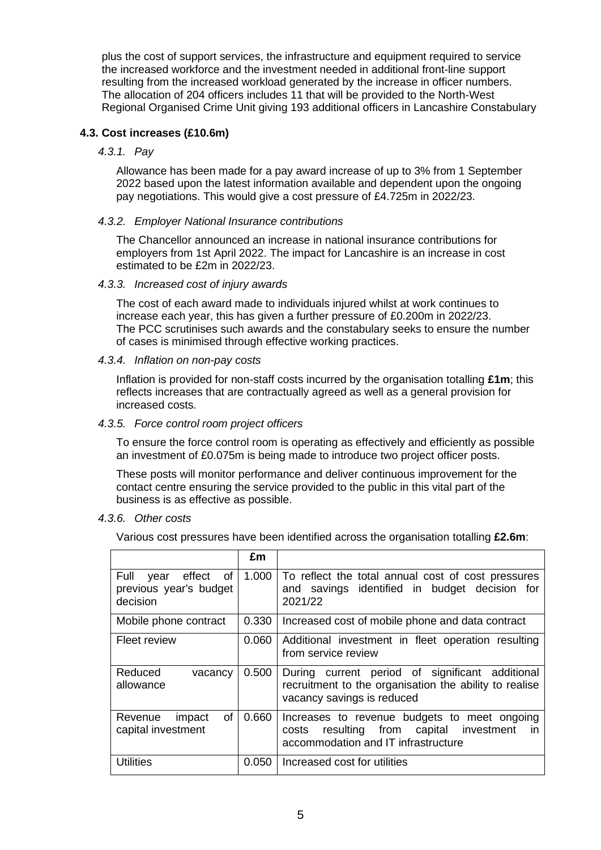plus the cost of support services, the infrastructure and equipment required to service the increased workforce and the investment needed in additional front-line support resulting from the increased workload generated by the increase in officer numbers. The allocation of 204 officers includes 11 that will be provided to the North-West Regional Organised Crime Unit giving 193 additional officers in Lancashire Constabulary

#### **4.3. Cost increases (£10.6m)**

*4.3.1. Pay*

Allowance has been made for a pay award increase of up to 3% from 1 September 2022 based upon the latest information available and dependent upon the ongoing pay negotiations. This would give a cost pressure of £4.725m in 2022/23.

#### *4.3.2. Employer National Insurance contributions*

The Chancellor announced an increase in national insurance contributions for employers from 1st April 2022. The impact for Lancashire is an increase in cost estimated to be £2m in 2022/23.

#### *4.3.3. Increased cost of injury awards*

The cost of each award made to individuals injured whilst at work continues to increase each year, this has given a further pressure of £0.200m in 2022/23. The PCC scrutinises such awards and the constabulary seeks to ensure the number of cases is minimised through effective working practices.

#### *4.3.4. Inflation on non-pay costs*

Inflation is provided for non-staff costs incurred by the organisation totalling **£1m**; this reflects increases that are contractually agreed as well as a general provision for increased costs.

#### *4.3.5. Force control room project officers*

To ensure the force control room is operating as effectively and efficiently as possible an investment of £0.075m is being made to introduce two project officer posts.

These posts will monitor performance and deliver continuous improvement for the contact centre ensuring the service provided to the public in this vital part of the business is as effective as possible.

#### *4.3.6. Other costs*

Various cost pressures have been identified across the organisation totalling **£2.6m**:

|                                                                 | £m    |                                                                                                                                         |
|-----------------------------------------------------------------|-------|-----------------------------------------------------------------------------------------------------------------------------------------|
| effect of<br>Full<br>year<br>previous year's budget<br>decision | 1.000 | To reflect the total annual cost of cost pressures<br>and savings identified in budget decision for<br>2021/22                          |
| Mobile phone contract                                           | 0.330 | Increased cost of mobile phone and data contract                                                                                        |
| Fleet review                                                    | 0.060 | Additional investment in fleet operation resulting<br>from service review                                                               |
| Reduced<br>vacancy<br>allowance                                 | 0.500 | During current period of significant additional<br>recruitment to the organisation the ability to realise<br>vacancy savings is reduced |
| οf<br>impact<br>Revenue<br>capital investment                   | 0.660 | Increases to revenue budgets to meet ongoing<br>resulting from capital investment<br>in<br>costs<br>accommodation and IT infrastructure |
| <b>Utilities</b>                                                | 0.050 | Increased cost for utilities                                                                                                            |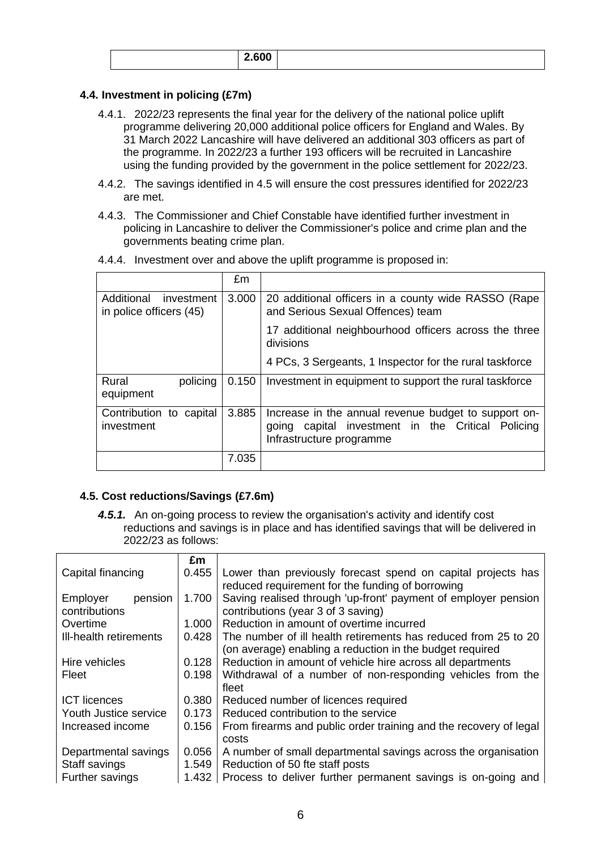|  |  | . |  |
|--|--|---|--|
|--|--|---|--|

## **4.4. Investment in policing (£7m)**

- 4.4.1. 2022/23 represents the final year for the delivery of the national police uplift programme delivering 20,000 additional police officers for England and Wales. By 31 March 2022 Lancashire will have delivered an additional 303 officers as part of the programme. In 2022/23 a further 193 officers will be recruited in Lancashire using the funding provided by the government in the police settlement for 2022/23.
- 4.4.2. The savings identified in 4.5 will ensure the cost pressures identified for 2022/23 are met.
- 4.4.3. The Commissioner and Chief Constable have identified further investment in policing in Lancashire to deliver the Commissioner's police and crime plan and the governments beating crime plan.

|                                                     | £m    |                                                                                                                                          |
|-----------------------------------------------------|-------|------------------------------------------------------------------------------------------------------------------------------------------|
| Additional<br>investment<br>in police officers (45) | 3.000 | 20 additional officers in a county wide RASSO (Rape<br>and Serious Sexual Offences) team                                                 |
|                                                     |       | 17 additional neighbourhood officers across the three<br>divisions                                                                       |
|                                                     |       | 4 PCs, 3 Sergeants, 1 Inspector for the rural taskforce                                                                                  |
| Rural<br>policing<br>equipment                      | 0.150 | Investment in equipment to support the rural taskforce                                                                                   |
| Contribution to capital<br>investment               | 3.885 | Increase in the annual revenue budget to support on-<br>capital investment in the Critical Policing<br>going<br>Infrastructure programme |
|                                                     | 7.035 |                                                                                                                                          |

4.4.4. Investment over and above the uplift programme is proposed in:

#### **4.5. Cost reductions/Savings (£7.6m)**

*4.5.1.* An on-going process to review the organisation's activity and identify cost reductions and savings is in place and has identified savings that will be delivered in 2022/23 as follows:

|                                      | £m    |                                                                                                                            |
|--------------------------------------|-------|----------------------------------------------------------------------------------------------------------------------------|
| Capital financing                    | 0.455 | Lower than previously forecast spend on capital projects has<br>reduced requirement for the funding of borrowing           |
| Employer<br>pension<br>contributions | 1.700 | Saving realised through 'up-front' payment of employer pension<br>contributions (year 3 of 3 saving)                       |
| Overtime                             | 1.000 | Reduction in amount of overtime incurred                                                                                   |
| Ill-health retirements               | 0.428 | The number of ill health retirements has reduced from 25 to 20<br>(on average) enabling a reduction in the budget required |
| Hire vehicles                        | 0.128 | Reduction in amount of vehicle hire across all departments                                                                 |
| Fleet                                | 0.198 | Withdrawal of a number of non-responding vehicles from the<br>fleet                                                        |
| <b>ICT</b> licences                  | 0.380 | Reduced number of licences required                                                                                        |
| Youth Justice service                | 0.173 | Reduced contribution to the service                                                                                        |
| Increased income                     | 0.156 | From firearms and public order training and the recovery of legal<br>costs                                                 |
| Departmental savings                 | 0.056 | A number of small departmental savings across the organisation                                                             |
| Staff savings                        | 1.549 | Reduction of 50 fte staff posts                                                                                            |
| Further savings                      | 1.432 | Process to deliver further permanent savings is on-going and                                                               |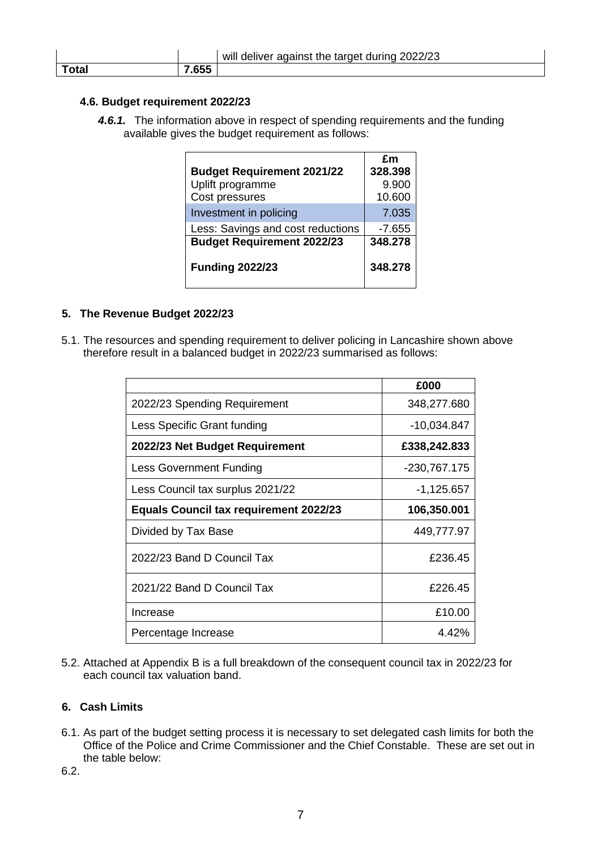|       |       | will deliver against the target during 2022/23 |
|-------|-------|------------------------------------------------|
| Total | 7.655 |                                                |

#### **4.6. Budget requirement 2022/23**

*4.6.1.* The information above in respect of spending requirements and the funding available gives the budget requirement as follows:

|                                   | £m       |
|-----------------------------------|----------|
| <b>Budget Requirement 2021/22</b> | 328.398  |
| Uplift programme                  | 9.900    |
| Cost pressures                    | 10.600   |
| Investment in policing            | 7.035    |
| Less: Savings and cost reductions | $-7.655$ |
| <b>Budget Requirement 2022/23</b> | 348.278  |
| <b>Funding 2022/23</b>            | 348.278  |

### **5. The Revenue Budget 2022/23**

5.1. The resources and spending requirement to deliver policing in Lancashire shown above therefore result in a balanced budget in 2022/23 summarised as follows:

|                                               | £000         |
|-----------------------------------------------|--------------|
| 2022/23 Spending Requirement                  | 348,277.680  |
| Less Specific Grant funding                   | -10,034.847  |
| 2022/23 Net Budget Requirement                | £338,242.833 |
| <b>Less Government Funding</b>                | -230,767.175 |
| Less Council tax surplus 2021/22              | $-1,125.657$ |
| <b>Equals Council tax requirement 2022/23</b> | 106,350.001  |
| Divided by Tax Base                           | 449,777.97   |
| 2022/23 Band D Council Tax                    | £236.45      |
| 2021/22 Band D Council Tax                    | £226.45      |
| Increase                                      | £10.00       |
| Percentage Increase                           | 4.42%        |

5.2. Attached at Appendix B is a full breakdown of the consequent council tax in 2022/23 for each council tax valuation band.

## **6. Cash Limits**

6.1. As part of the budget setting process it is necessary to set delegated cash limits for both the Office of the Police and Crime Commissioner and the Chief Constable. These are set out in the table below:

6.2.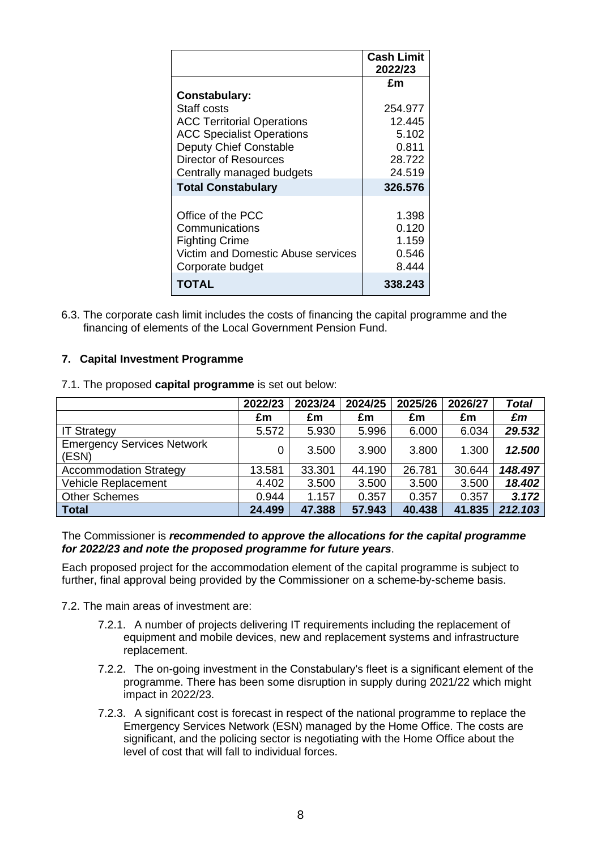|                                                                                                                        | <b>Cash Limit</b><br>2022/23              |
|------------------------------------------------------------------------------------------------------------------------|-------------------------------------------|
|                                                                                                                        | £m                                        |
| Constabulary:                                                                                                          |                                           |
| Staff costs                                                                                                            | 254.977                                   |
| <b>ACC Territorial Operations</b>                                                                                      | 12.445                                    |
| <b>ACC Specialist Operations</b>                                                                                       | 5.102                                     |
| <b>Deputy Chief Constable</b>                                                                                          | 0.811                                     |
| Director of Resources                                                                                                  | 28.722                                    |
| Centrally managed budgets                                                                                              | 24.519                                    |
| <b>Total Constabulary</b>                                                                                              | 326.576                                   |
| Office of the PCC<br>Communications<br><b>Fighting Crime</b><br>Victim and Domestic Abuse services<br>Corporate budget | 1.398<br>0.120<br>1.159<br>0.546<br>8.444 |
| TOTAL                                                                                                                  | 338.243                                   |

6.3. The corporate cash limit includes the costs of financing the capital programme and the financing of elements of the Local Government Pension Fund.

#### **7. Capital Investment Programme**

|                                            | 2022/23 | 2023/24 | 2024/25 | 2025/26 | 2026/27 | <b>Total</b> |
|--------------------------------------------|---------|---------|---------|---------|---------|--------------|
|                                            | £m      | £m      | £m      | £m      | £m      | £m           |
| <b>IT Strategy</b>                         | 5.572   | 5.930   | 5.996   | 6.000   | 6.034   | 29.532       |
| <b>Emergency Services Network</b><br>(ESN) | 0       | 3.500   | 3.900   | 3.800   | 1.300   | 12.500       |
| <b>Accommodation Strategy</b>              | 13.581  | 33.301  | 44.190  | 26.781  | 30.644  | 148.497      |
| Vehicle Replacement                        | 4.402   | 3.500   | 3.500   | 3.500   | 3.500   | 18.402       |
| <b>Other Schemes</b>                       | 0.944   | 1.157   | 0.357   | 0.357   | 0.357   | 3.172        |
| <b>Total</b>                               | 24.499  | 47.388  | 57.943  | 40.438  | 41.835  | 212.103      |

7.1. The proposed **capital programme** is set out below:

The Commissioner is *recommended to approve the allocations for the capital programme for 2022/23 and note the proposed programme for future years*.

Each proposed project for the accommodation element of the capital programme is subject to further, final approval being provided by the Commissioner on a scheme-by-scheme basis.

- 7.2. The main areas of investment are:
	- 7.2.1. A number of projects delivering IT requirements including the replacement of equipment and mobile devices, new and replacement systems and infrastructure replacement.
	- 7.2.2. The on-going investment in the Constabulary's fleet is a significant element of the programme. There has been some disruption in supply during 2021/22 which might impact in 2022/23.
	- 7.2.3. A significant cost is forecast in respect of the national programme to replace the Emergency Services Network (ESN) managed by the Home Office. The costs are significant, and the policing sector is negotiating with the Home Office about the level of cost that will fall to individual forces.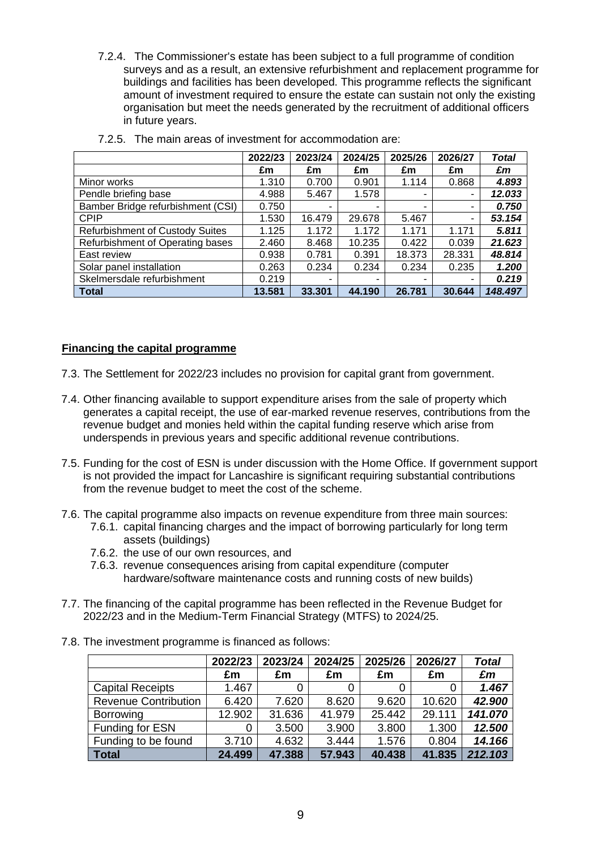7.2.4. The Commissioner's estate has been subject to a full programme of condition surveys and as a result, an extensive refurbishment and replacement programme for buildings and facilities has been developed. This programme reflects the significant amount of investment required to ensure the estate can sustain not only the existing organisation but meet the needs generated by the recruitment of additional officers in future years.

|                                        | 2022/23 | 2023/24 | 2024/25 | 2025/26 | 2026/27 | Total   |
|----------------------------------------|---------|---------|---------|---------|---------|---------|
|                                        | £m      | £m      | £m      | £m      | £m      | £m      |
| Minor works                            | 1.310   | 0.700   | 0.901   | 1.114   | 0.868   | 4.893   |
| Pendle briefing base                   | 4.988   | 5.467   | 1.578   |         |         | 12.033  |
| Bamber Bridge refurbishment (CSI)      | 0.750   | ۰       | ۰.      | -       | -       | 0.750   |
| <b>CPIP</b>                            | 1.530   | 16.479  | 29.678  | 5.467   | -       | 53.154  |
| <b>Refurbishment of Custody Suites</b> | 1.125   | 1.172   | 1.172   | 1.171   | 1.171   | 5.811   |
| Refurbishment of Operating bases       | 2.460   | 8.468   | 10.235  | 0.422   | 0.039   | 21.623  |
| East review                            | 0.938   | 0.781   | 0.391   | 18.373  | 28.331  | 48.814  |
| Solar panel installation               | 0.263   | 0.234   | 0.234   | 0.234   | 0.235   | 1.200   |
| Skelmersdale refurbishment             | 0.219   | ۰       | ۰       | ۰       |         | 0.219   |
| <b>Total</b>                           | 13.581  | 33.301  | 44.190  | 26.781  | 30.644  | 148.497 |

7.2.5. The main areas of investment for accommodation are:

#### **Financing the capital programme**

- 7.3. The Settlement for 2022/23 includes no provision for capital grant from government.
- 7.4. Other financing available to support expenditure arises from the sale of property which generates a capital receipt, the use of ear-marked revenue reserves, contributions from the revenue budget and monies held within the capital funding reserve which arise from underspends in previous years and specific additional revenue contributions.
- 7.5. Funding for the cost of ESN is under discussion with the Home Office. If government support is not provided the impact for Lancashire is significant requiring substantial contributions from the revenue budget to meet the cost of the scheme.
- 7.6. The capital programme also impacts on revenue expenditure from three main sources:
	- 7.6.1. capital financing charges and the impact of borrowing particularly for long term assets (buildings)
	- 7.6.2. the use of our own resources, and
	- 7.6.3. revenue consequences arising from capital expenditure (computer hardware/software maintenance costs and running costs of new builds)
- 7.7. The financing of the capital programme has been reflected in the Revenue Budget for 2022/23 and in the Medium-Term Financial Strategy (MTFS) to 2024/25.
- 7.8. The investment programme is financed as follows:

|                             | 2022/23 | 2023/24 | 2024/25 | 2025/26 | 2026/27 | <b>Total</b> |
|-----------------------------|---------|---------|---------|---------|---------|--------------|
|                             | £m      | £m      | £m      | £m      | £m      | £m           |
| <b>Capital Receipts</b>     | 1.467   |         | 0       |         |         | 1.467        |
| <b>Revenue Contribution</b> | 6.420   | 7.620   | 8.620   | 9.620   | 10.620  | 42.900       |
| <b>Borrowing</b>            | 12.902  | 31.636  | 41.979  | 25.442  | 29.111  | 141.070      |
| Funding for ESN             | 0       | 3.500   | 3.900   | 3.800   | 1.300   | 12.500       |
| Funding to be found         | 3.710   | 4.632   | 3.444   | 1.576   | 0.804   | 14.166       |
| Total                       | 24.499  | 47.388  | 57.943  | 40.438  | 41.835  | 212.103      |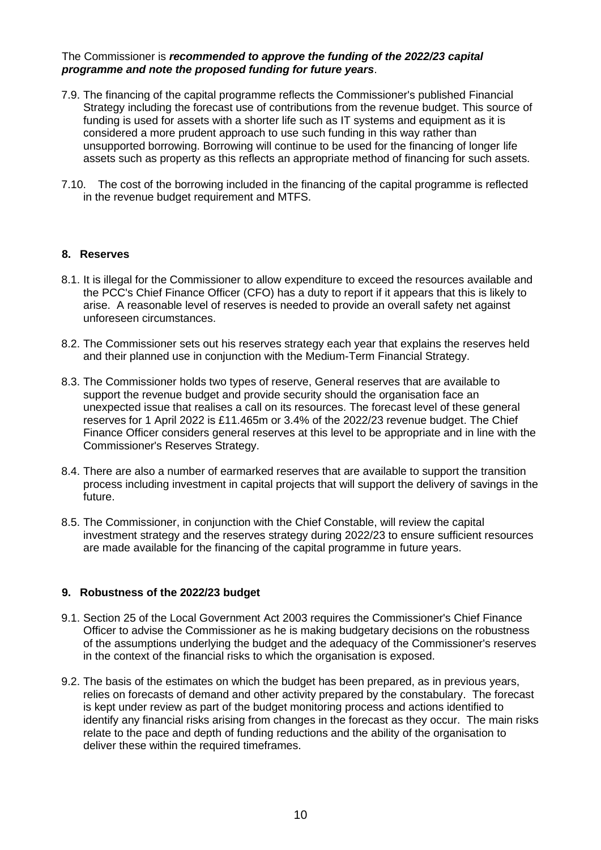#### The Commissioner is *recommended to approve the funding of the 2022/23 capital programme and note the proposed funding for future years*.

- 7.9. The financing of the capital programme reflects the Commissioner's published Financial Strategy including the forecast use of contributions from the revenue budget. This source of funding is used for assets with a shorter life such as IT systems and equipment as it is considered a more prudent approach to use such funding in this way rather than unsupported borrowing. Borrowing will continue to be used for the financing of longer life assets such as property as this reflects an appropriate method of financing for such assets.
- 7.10. The cost of the borrowing included in the financing of the capital programme is reflected in the revenue budget requirement and MTFS.

#### **8. Reserves**

- 8.1. It is illegal for the Commissioner to allow expenditure to exceed the resources available and the PCC's Chief Finance Officer (CFO) has a duty to report if it appears that this is likely to arise. A reasonable level of reserves is needed to provide an overall safety net against unforeseen circumstances.
- 8.2. The Commissioner sets out his reserves strategy each year that explains the reserves held and their planned use in conjunction with the Medium-Term Financial Strategy.
- 8.3. The Commissioner holds two types of reserve, General reserves that are available to support the revenue budget and provide security should the organisation face an unexpected issue that realises a call on its resources. The forecast level of these general reserves for 1 April 2022 is £11.465m or 3.4% of the 2022/23 revenue budget. The Chief Finance Officer considers general reserves at this level to be appropriate and in line with the Commissioner's Reserves Strategy.
- 8.4. There are also a number of earmarked reserves that are available to support the transition process including investment in capital projects that will support the delivery of savings in the future.
- 8.5. The Commissioner, in conjunction with the Chief Constable, will review the capital investment strategy and the reserves strategy during 2022/23 to ensure sufficient resources are made available for the financing of the capital programme in future years.

#### **9. Robustness of the 2022/23 budget**

- 9.1. Section 25 of the Local Government Act 2003 requires the Commissioner's Chief Finance Officer to advise the Commissioner as he is making budgetary decisions on the robustness of the assumptions underlying the budget and the adequacy of the Commissioner's reserves in the context of the financial risks to which the organisation is exposed.
- 9.2. The basis of the estimates on which the budget has been prepared, as in previous years, relies on forecasts of demand and other activity prepared by the constabulary. The forecast is kept under review as part of the budget monitoring process and actions identified to identify any financial risks arising from changes in the forecast as they occur. The main risks relate to the pace and depth of funding reductions and the ability of the organisation to deliver these within the required timeframes.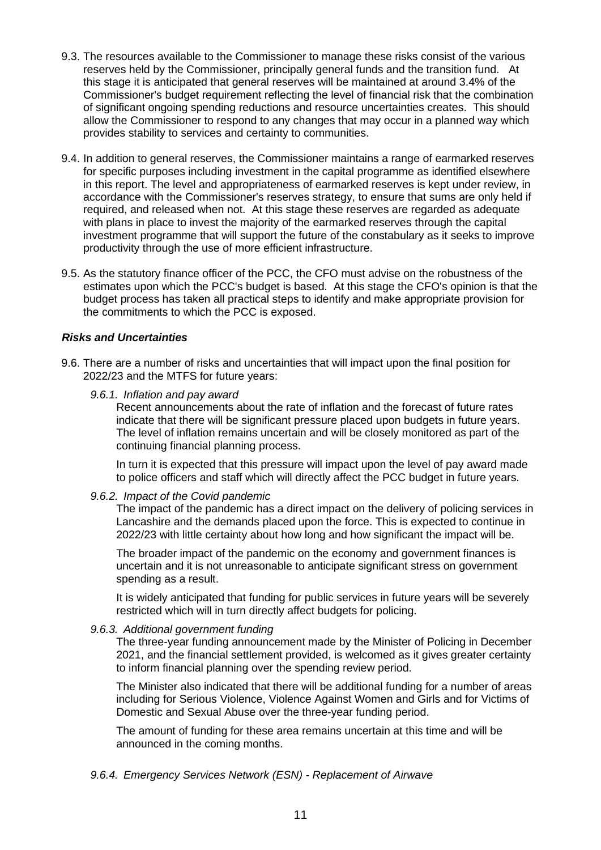- 9.3. The resources available to the Commissioner to manage these risks consist of the various reserves held by the Commissioner, principally general funds and the transition fund. At this stage it is anticipated that general reserves will be maintained at around 3.4% of the Commissioner's budget requirement reflecting the level of financial risk that the combination of significant ongoing spending reductions and resource uncertainties creates. This should allow the Commissioner to respond to any changes that may occur in a planned way which provides stability to services and certainty to communities.
- 9.4. In addition to general reserves, the Commissioner maintains a range of earmarked reserves for specific purposes including investment in the capital programme as identified elsewhere in this report. The level and appropriateness of earmarked reserves is kept under review, in accordance with the Commissioner's reserves strategy, to ensure that sums are only held if required, and released when not. At this stage these reserves are regarded as adequate with plans in place to invest the majority of the earmarked reserves through the capital investment programme that will support the future of the constabulary as it seeks to improve productivity through the use of more efficient infrastructure.
- 9.5. As the statutory finance officer of the PCC, the CFO must advise on the robustness of the estimates upon which the PCC's budget is based. At this stage the CFO's opinion is that the budget process has taken all practical steps to identify and make appropriate provision for the commitments to which the PCC is exposed.

#### *Risks and Uncertainties*

- 9.6. There are a number of risks and uncertainties that will impact upon the final position for 2022/23 and the MTFS for future years:
	- *9.6.1. Inflation and pay award*

Recent announcements about the rate of inflation and the forecast of future rates indicate that there will be significant pressure placed upon budgets in future years. The level of inflation remains uncertain and will be closely monitored as part of the continuing financial planning process.

In turn it is expected that this pressure will impact upon the level of pay award made to police officers and staff which will directly affect the PCC budget in future years.

#### *9.6.2. Impact of the Covid pandemic*

The impact of the pandemic has a direct impact on the delivery of policing services in Lancashire and the demands placed upon the force. This is expected to continue in 2022/23 with little certainty about how long and how significant the impact will be.

The broader impact of the pandemic on the economy and government finances is uncertain and it is not unreasonable to anticipate significant stress on government spending as a result.

It is widely anticipated that funding for public services in future years will be severely restricted which will in turn directly affect budgets for policing.

#### *9.6.3. Additional government funding*

The three-year funding announcement made by the Minister of Policing in December 2021, and the financial settlement provided, is welcomed as it gives greater certainty to inform financial planning over the spending review period.

The Minister also indicated that there will be additional funding for a number of areas including for Serious Violence, Violence Against Women and Girls and for Victims of Domestic and Sexual Abuse over the three-year funding period.

The amount of funding for these area remains uncertain at this time and will be announced in the coming months.

*9.6.4. Emergency Services Network (ESN) - Replacement of Airwave*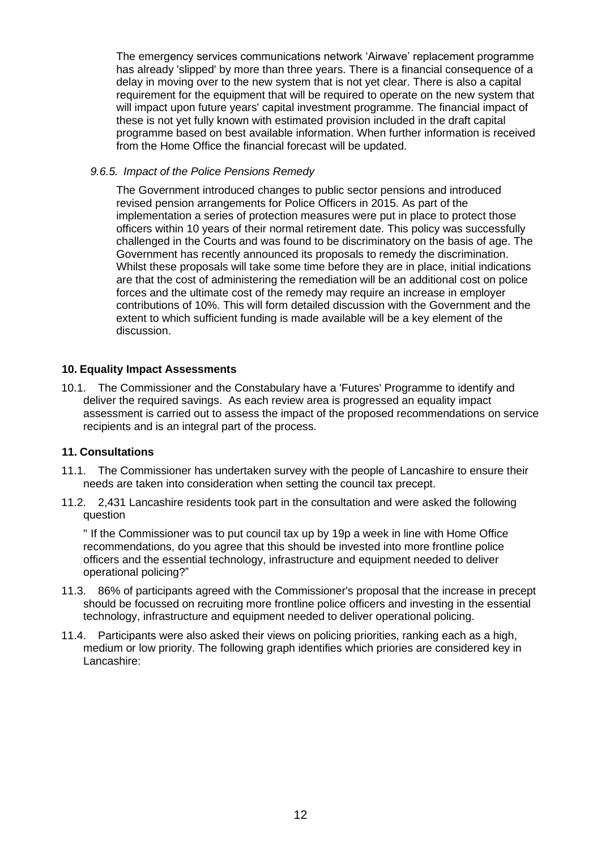The emergency services communications network 'Airwave' replacement programme has already 'slipped' by more than three years. There is a financial consequence of a delay in moving over to the new system that is not yet clear. There is also a capital requirement for the equipment that will be required to operate on the new system that will impact upon future years' capital investment programme. The financial impact of these is not yet fully known with estimated provision included in the draft capital programme based on best available information. When further information is received from the Home Office the financial forecast will be updated.

#### *9.6.5. Impact of the Police Pensions Remedy*

The Government introduced changes to public sector pensions and introduced revised pension arrangements for Police Officers in 2015. As part of the implementation a series of protection measures were put in place to protect those officers within 10 years of their normal retirement date. This policy was successfully challenged in the Courts and was found to be discriminatory on the basis of age. The Government has recently announced its proposals to remedy the discrimination. Whilst these proposals will take some time before they are in place, initial indications are that the cost of administering the remediation will be an additional cost on police forces and the ultimate cost of the remedy may require an increase in employer contributions of 10%. This will form detailed discussion with the Government and the extent to which sufficient funding is made available will be a key element of the discussion.

### **10. Equality Impact Assessments**

10.1. The Commissioner and the Constabulary have a 'Futures' Programme to identify and deliver the required savings. As each review area is progressed an equality impact assessment is carried out to assess the impact of the proposed recommendations on service recipients and is an integral part of the process.

#### **11. Consultations**

- 11.1. The Commissioner has undertaken survey with the people of Lancashire to ensure their needs are taken into consideration when setting the council tax precept.
- 11.2. 2,431 Lancashire residents took part in the consultation and were asked the following question

" If the Commissioner was to put council tax up by 19p a week in line with Home Office recommendations, do you agree that this should be invested into more frontline police officers and the essential technology, infrastructure and equipment needed to deliver operational policing?"

- 11.3. 86% of participants agreed with the Commissioner's proposal that the increase in precept should be focussed on recruiting more frontline police officers and investing in the essential technology, infrastructure and equipment needed to deliver operational policing.
- 11.4. Participants were also asked their views on policing priorities, ranking each as a high, medium or low priority. The following graph identifies which priories are considered key in Lancashire: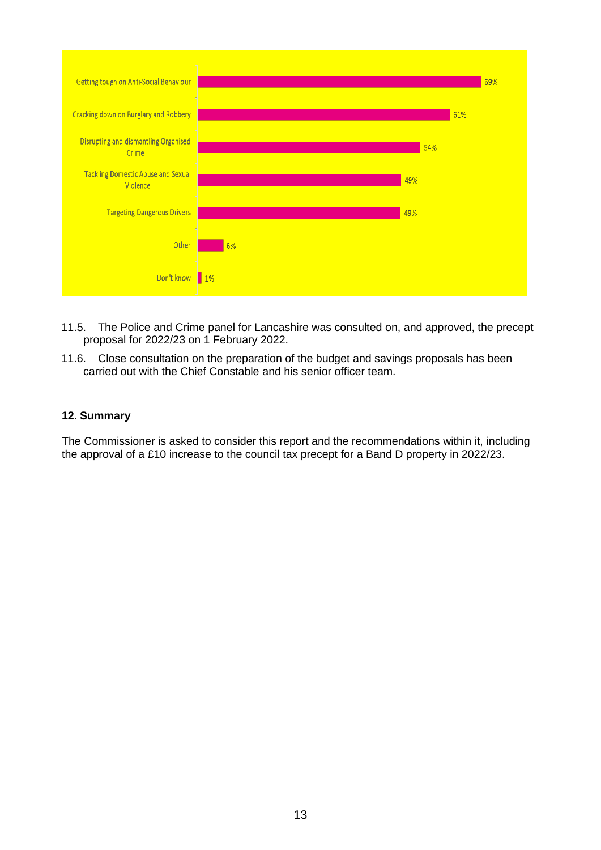

- 11.5. The Police and Crime panel for Lancashire was consulted on, and approved, the precept proposal for 2022/23 on 1 February 2022.
- 11.6. Close consultation on the preparation of the budget and savings proposals has been carried out with the Chief Constable and his senior officer team.

#### **12. Summary**

The Commissioner is asked to consider this report and the recommendations within it, including the approval of a £10 increase to the council tax precept for a Band D property in 2022/23.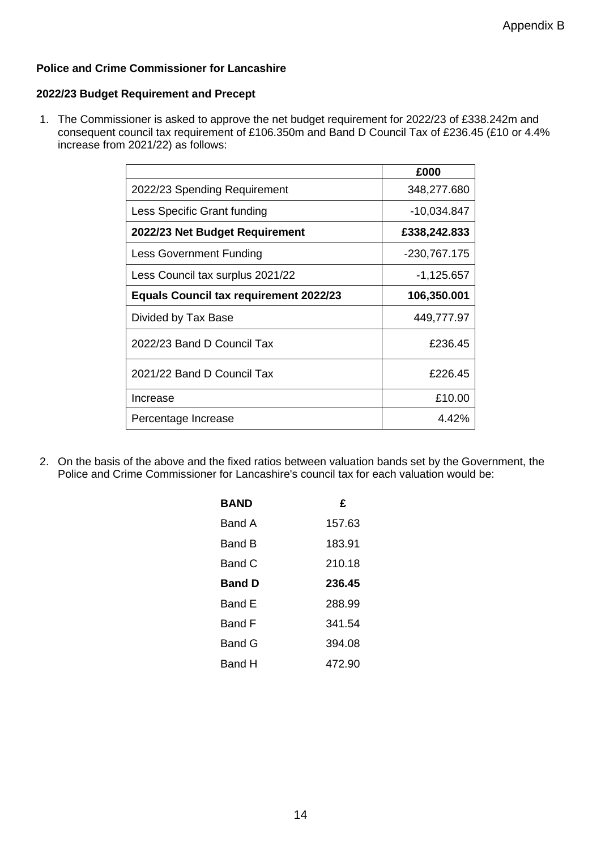## **Police and Crime Commissioner for Lancashire**

#### **2022/23 Budget Requirement and Precept**

1. The Commissioner is asked to approve the net budget requirement for 2022/23 of £338.242m and consequent council tax requirement of £106.350m and Band D Council Tax of £236.45 (£10 or 4.4% increase from 2021/22) as follows:

|                                               | £000          |
|-----------------------------------------------|---------------|
| 2022/23 Spending Requirement                  | 348,277.680   |
| Less Specific Grant funding                   | $-10,034.847$ |
| 2022/23 Net Budget Requirement                | £338,242.833  |
| <b>Less Government Funding</b>                | -230,767.175  |
| Less Council tax surplus 2021/22              | $-1,125.657$  |
| <b>Equals Council tax requirement 2022/23</b> | 106,350.001   |
| Divided by Tax Base                           | 449,777.97    |
| 2022/23 Band D Council Tax                    | £236.45       |
| 2021/22 Band D Council Tax                    | £226.45       |
| Increase                                      | £10.00        |
| Percentage Increase                           | 4.42%         |

2. On the basis of the above and the fixed ratios between valuation bands set by the Government, the Police and Crime Commissioner for Lancashire's council tax for each valuation would be:

| BAND          | £      |
|---------------|--------|
| Band A        | 157.63 |
| Band B        | 183.91 |
| Band C        | 210.18 |
| Band D        | 236.45 |
| Band E        | 288.99 |
| <b>Band F</b> | 341.54 |
| <b>Band G</b> | 394.08 |
| Band H        | 472.90 |